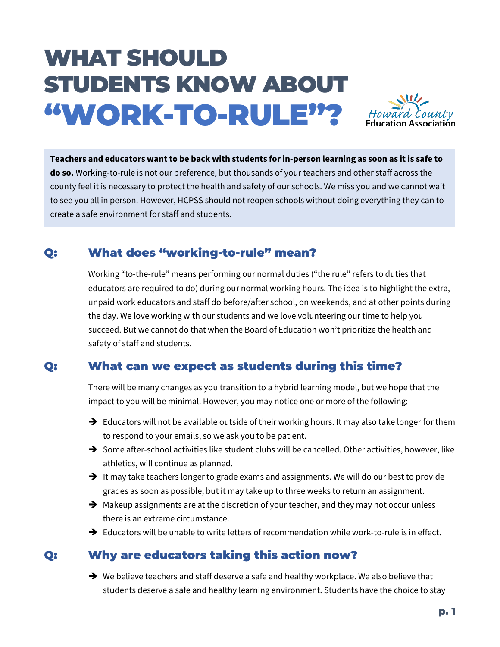# WHAT SHOULD STUDENTS KNOW ABOUT "WORK-TO-RULE"?



**Teachers and educators want to be back with students for in-person learning as soon as it is safe to do so.** Working-to-rule is not our preference, but thousands of your teachers and other staff across the county feel it is necessary to protect the health and safety of our schools. We miss you and we cannot wait to see you all in person. However, HCPSS should not reopen schools without doing everything they can to create a safe environment for staff and students.

# Q: What does "working-to-rule" mean?

Working "to-the-rule" means performing our normal duties ("the rule" refers to duties that educators are required to do) during our normal working hours. The idea is to highlight the extra, unpaid work educators and staff do before/after school, on weekends, and at other points during the day. We love working with our students and we love volunteering our time to help you succeed. But we cannot do that when the Board of Education won't prioritize the health and safety of staff and students.

#### Q: What can we expect as students during this time?

There will be many changes as you transition to a hybrid learning model, but we hope that the impact to you will be minimal. However, you may notice one or more of the following:

- $\rightarrow$  Educators will not be available outside of their working hours. It may also take longer for them to respond to your emails, so we ask you to be patient.
- $\rightarrow$  Some after-school activities like student clubs will be cancelled. Other activities, however, like athletics, will continue as planned.
- $\rightarrow$  It may take teachers longer to grade exams and assignments. We will do our best to provide grades as soon as possible, but it may take up to three weeks to return an assignment.
- $\rightarrow$  Makeup assignments are at the discretion of your teacher, and they may not occur unless there is an extreme circumstance.
- $\rightarrow$  Educators will be unable to write letters of recommendation while work-to-rule is in effect.

## Q: Why are educators taking this action now?

 $\rightarrow$  We believe teachers and staff deserve a safe and healthy workplace. We also believe that students deserve a safe and healthy learning environment. Students have the choice to stay